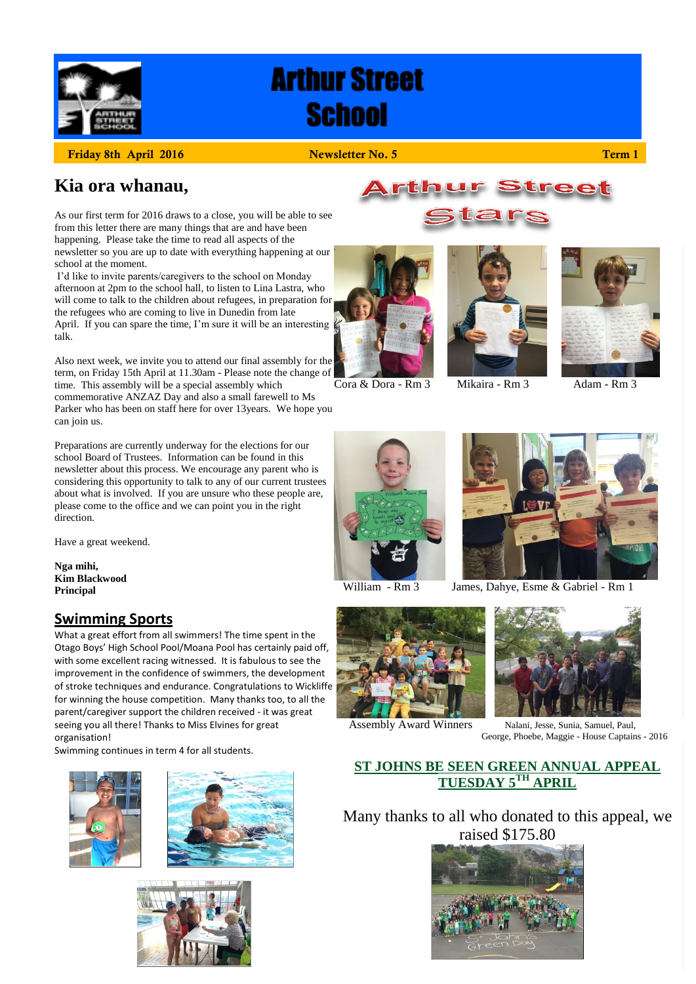

# **Arthur Street School**

**Friday 8th April 2016 Newsletter No. 5 Term 1**

### **Kia ora whanau,**

As our first term for 2016 draws to a close, you will be able to see from this letter there are many things that are and have been happening. Please take the time to read all aspects of the newsletter so you are up to date with everything happening at our school at the moment.

I'd like to invite parents/caregivers to the school on Monday afternoon at 2pm to the school hall, to listen to Lina Lastra, who will come to talk to the children about refugees, in preparation for the refugees who are coming to live in Dunedin from late April. If you can spare the time, I'm sure it will be an interesting talk.

Also next week, we invite you to attend our final assembly for the term, on Friday 15th April at 11.30am - Please note the change of time. This assembly will be a special assembly which

commemorative ANZAZ Day and also a small farewell to Ms Parker who has been on staff here for over 13years. We hope you can join us.

Preparations are currently underway for the elections for our school Board of Trustees. Information can be found in this newsletter about this process. We encourage any parent who is considering this opportunity to talk to any of our current trustees about what is involved. If you are unsure who these people are, please come to the office and we can point you in the right direction.

Have a great weekend.

**Nga mihi, Kim Blackwood Principal**

#### **Swimming Sports**

What a great effort from all swimmers! The time spent in the Otago Boys' High School Pool/Moana Pool has certainly paid off, with some excellent racing witnessed. It is fabulous to see the improvement in the confidence of swimmers, the development of stroke techniques and endurance. Congratulations to Wickliffe for winning the house competition. Many thanks too, to all the parent/caregiver support the children received - it was great seeing you all there! Thanks to Miss Elvines for great organisation!

Swimming continues in term 4 for all students.





















William - Rm 3 James, Dahye, Esme & Gabriel - Rm 1



Assembly Award Winners Nalani, Jesse, Sunia, Samuel, Paul,

George, Phoebe, Maggie - House Captains - 2016

#### **ST JOHNS BE SEEN GREEN ANNUAL APPEAL**  $\overline{\text{TUESDAY S}^{\text{TH}} }$  APRIL

Many thanks to all who donated to this appeal, we raised \$175.80